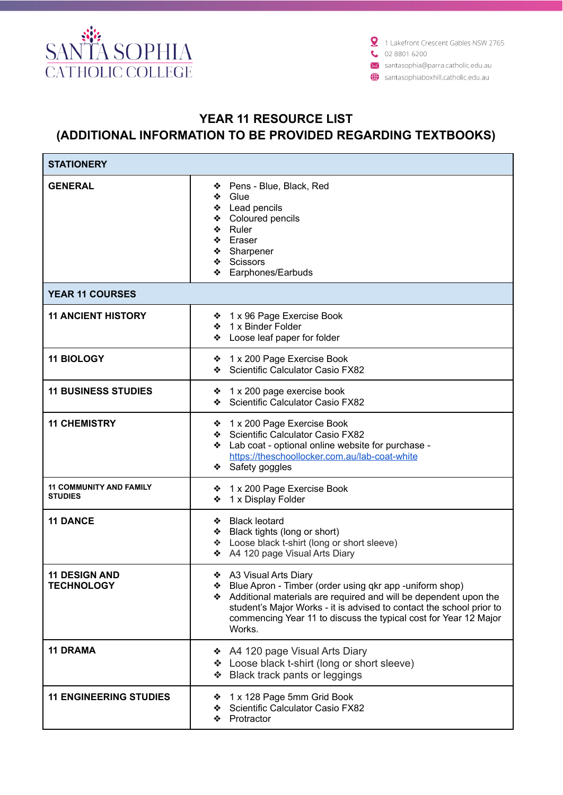

X santasophia@parra.catholic.edu.au

santasophiaboxhill.catholic.edu.au

## **YEAR 11 RESOURCE LIST (ADDITIONAL INFORMATION TO BE PROVIDED REGARDING TEXTBOOKS)**

| <b>STATIONERY</b>                                |                                                                                                                                                                                                                                                                                                               |  |
|--------------------------------------------------|---------------------------------------------------------------------------------------------------------------------------------------------------------------------------------------------------------------------------------------------------------------------------------------------------------------|--|
| <b>GENERAL</b>                                   | Pens - Blue, Black, Red<br>❖<br>Glue<br>❖<br>Lead pencils<br>Coloured pencils<br>Ruler<br>❖<br>❖ Eraser<br>❖ Sharpener<br>❖ Scissors<br>Earphones/Earbuds                                                                                                                                                     |  |
| <b>YEAR 11 COURSES</b>                           |                                                                                                                                                                                                                                                                                                               |  |
| <b>11 ANCIENT HISTORY</b>                        | ❖ 1 x 96 Page Exercise Book<br>❖ 1 x Binder Folder<br>Loose leaf paper for folder                                                                                                                                                                                                                             |  |
| <b>11 BIOLOGY</b>                                | ❖ 1 x 200 Page Exercise Book<br>Scientific Calculator Casio FX82                                                                                                                                                                                                                                              |  |
| <b>11 BUSINESS STUDIES</b>                       | ❖ 1 x 200 page exercise book<br>Scientific Calculator Casio FX82<br>❖                                                                                                                                                                                                                                         |  |
| <b>11 CHEMISTRY</b>                              | ❖ 1 x 200 Page Exercise Book<br>Scientific Calculator Casio FX82<br>❖<br>Lab coat - optional online website for purchase -<br>❖<br>https://theschoollocker.com.au/lab-coat-white<br>Safety goggles<br>❖                                                                                                       |  |
| <b>11 COMMUNITY AND FAMILY</b><br><b>STUDIES</b> | 1 x 200 Page Exercise Book<br>❖<br>1 x Display Folder<br>❖                                                                                                                                                                                                                                                    |  |
| <b>11 DANCE</b>                                  | ❖ Black leotard<br>❖ Black tights (long or short)<br>Loose black t-shirt (long or short sleeve)<br>❖ A4 120 page Visual Arts Diary                                                                                                                                                                            |  |
| <b>11 DESIGN AND</b><br><b>TECHNOLOGY</b>        | ❖ A3 Visual Arts Diary<br>❖ Blue Apron - Timber (order using qkr app -uniform shop)<br>Additional materials are required and will be dependent upon the<br>student's Major Works - it is advised to contact the school prior to<br>commencing Year 11 to discuss the typical cost for Year 12 Major<br>Works. |  |
| <b>11 DRAMA</b>                                  | A4 120 page Visual Arts Diary<br>❖<br>❖ Loose black t-shirt (long or short sleeve)<br>Black track pants or leggings<br>❖                                                                                                                                                                                      |  |
| <b>11 ENGINEERING STUDIES</b>                    | 1 x 128 Page 5mm Grid Book<br>❖<br>Scientific Calculator Casio FX82<br>❖<br>Protractor<br>❖                                                                                                                                                                                                                   |  |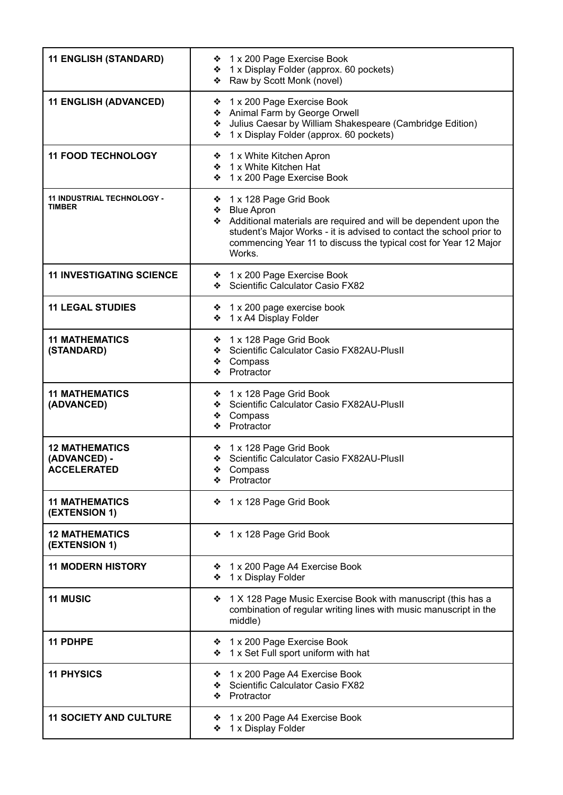| <b>11 ENGLISH (STANDARD)</b>                                | ❖ 1 x 200 Page Exercise Book<br>❖ 1 x Display Folder (approx. 60 pockets)<br>❖ Raw by Scott Monk (novel)                                                                                                                                                           |
|-------------------------------------------------------------|--------------------------------------------------------------------------------------------------------------------------------------------------------------------------------------------------------------------------------------------------------------------|
| <b>11 ENGLISH (ADVANCED)</b>                                | 1 x 200 Page Exercise Book<br>❖<br>❖ Animal Farm by George Orwell<br>Julius Caesar by William Shakespeare (Cambridge Edition)<br>❖<br>1 x Display Folder (approx. 60 pockets)<br>❖                                                                                 |
| <b>11 FOOD TECHNOLOGY</b>                                   | ❖ 1 x White Kitchen Apron<br>❖ 1 x White Kitchen Hat<br>❖ 1 x 200 Page Exercise Book                                                                                                                                                                               |
| 11 INDUSTRIAL TECHNOLOGY -<br><b>TIMBER</b>                 | ❖ 1 x 128 Page Grid Book<br>❖ Blue Apron<br>Additional materials are required and will be dependent upon the<br>student's Major Works - it is advised to contact the school prior to<br>commencing Year 11 to discuss the typical cost for Year 12 Major<br>Works. |
| <b>11 INVESTIGATING SCIENCE</b>                             | ❖ 1 x 200 Page Exercise Book<br>Scientific Calculator Casio FX82                                                                                                                                                                                                   |
| <b>11 LEGAL STUDIES</b>                                     | ❖ 1 x 200 page exercise book<br>❖ 1 x A4 Display Folder                                                                                                                                                                                                            |
| <b>11 MATHEMATICS</b><br>(STANDARD)                         | 1 x 128 Page Grid Book<br>❖<br>Scientific Calculator Casio FX82AU-PlusII<br>❖<br>Compass<br>❖<br>Protractor<br>❖                                                                                                                                                   |
| <b>11 MATHEMATICS</b><br>(ADVANCED)                         | ❖ 1 x 128 Page Grid Book<br>Scientific Calculator Casio FX82AU-PlusII<br>❖<br>❖ Compass<br>❖ Protractor                                                                                                                                                            |
| <b>12 MATHEMATICS</b><br>(ADVANCED) -<br><b>ACCELERATED</b> | ❖ 1 x 128 Page Grid Book<br>Scientific Calculator Casio FX82AU-PlusII<br>❖<br>❖<br>Compass<br>Protractor                                                                                                                                                           |
| <b>11 MATHEMATICS</b><br>(EXTENSION 1)                      | 1 x 128 Page Grid Book<br>❖                                                                                                                                                                                                                                        |
| <b>12 MATHEMATICS</b><br>(EXTENSION 1)                      | 1 x 128 Page Grid Book<br>❖                                                                                                                                                                                                                                        |
| <b>11 MODERN HISTORY</b>                                    | 1 x 200 Page A4 Exercise Book<br>❖<br>1 x Display Folder<br>❖                                                                                                                                                                                                      |
| <b>11 MUSIC</b>                                             | 1 X 128 Page Music Exercise Book with manuscript (this has a<br>❖<br>combination of regular writing lines with music manuscript in the<br>middle)                                                                                                                  |
| 11 PDHPE                                                    | ❖ 1 x 200 Page Exercise Book<br>1 x Set Full sport uniform with hat<br>❖                                                                                                                                                                                           |
| <b>11 PHYSICS</b>                                           | 1 x 200 Page A4 Exercise Book<br>❖<br>Scientific Calculator Casio FX82<br>❖<br>Protractor<br>❖                                                                                                                                                                     |
| <b>11 SOCIETY AND CULTURE</b>                               | 1 x 200 Page A4 Exercise Book<br>❖<br>1 x Display Folder<br>❖                                                                                                                                                                                                      |